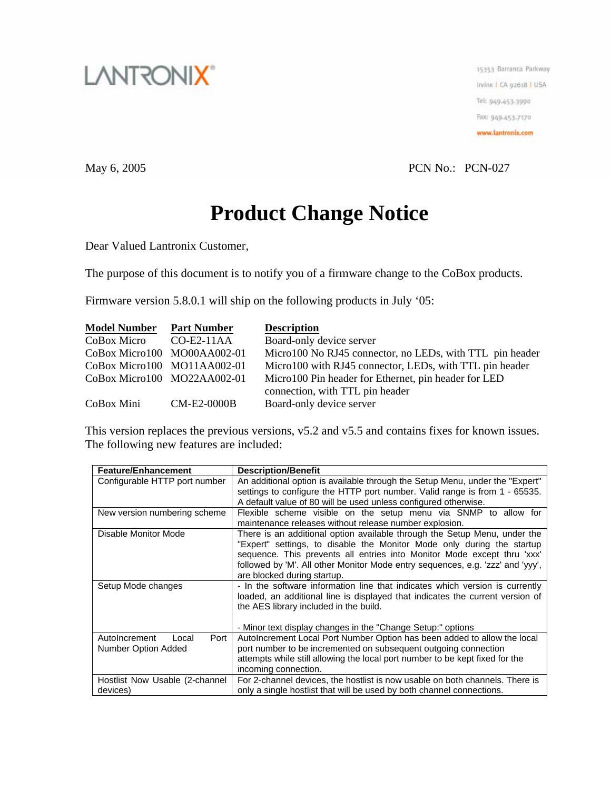

15353 Barranca Parkway Irvine I CA 92618 | USA Tel: 949-453-3990 Fax: 949-453-7170 www.lantronix.com

May 6, 2005 PCN No.: PCN-027

## **Product Change Notice**

Dear Valued Lantronix Customer,

The purpose of this document is to notify you of a firmware change to the CoBox products.

Firmware version 5.8.0.1 will ship on the following products in July '05:

| <b>Model Number</b>         | <b>Part Number</b> | <b>Description</b>                                       |
|-----------------------------|--------------------|----------------------------------------------------------|
| CoBox Micro CO-E2-11AA      |                    | Board-only device server                                 |
| CoBox Micro100 MO00AA002-01 |                    | Micro100 No RJ45 connector, no LEDs, with TTL pin header |
| CoBox Micro100 MO11AA002-01 |                    | Micro100 with RJ45 connector, LEDs, with TTL pin header  |
| CoBox Micro100 MO22AA002-01 |                    | Micro100 Pin header for Ethernet, pin header for LED     |
|                             |                    | connection, with TTL pin header                          |
| CoBox Mini                  | <b>CM-E2-0000B</b> | Board-only device server                                 |

This version replaces the previous versions, v5.2 and v5.5 and contains fixes for known issues. The following new features are included:

| <b>Feature/Enhancement</b>     | <b>Description/Benefit</b>                                                     |
|--------------------------------|--------------------------------------------------------------------------------|
| Configurable HTTP port number  | An additional option is available through the Setup Menu, under the "Expert"   |
|                                | settings to configure the HTTP port number. Valid range is from 1 - 65535.     |
|                                | A default value of 80 will be used unless configured otherwise.                |
| New version numbering scheme   | Flexible scheme visible on the setup menu via SNMP to allow for                |
|                                | maintenance releases without release number explosion.                         |
| Disable Monitor Mode           | There is an additional option available through the Setup Menu, under the      |
|                                | "Expert" settings, to disable the Monitor Mode only during the startup         |
|                                | sequence. This prevents all entries into Monitor Mode except thru 'xxx'        |
|                                | followed by 'M'. All other Monitor Mode entry sequences, e.g. 'zzz' and 'yyy', |
|                                | are blocked during startup.                                                    |
| Setup Mode changes             | - In the software information line that indicates which version is currently   |
|                                | loaded, an additional line is displayed that indicates the current version of  |
|                                | the AES library included in the build.                                         |
|                                |                                                                                |
|                                | - Minor text display changes in the "Change Setup:" options                    |
| Port<br>AutoIncrement<br>Local | AutoIncrement Local Port Number Option has been added to allow the local       |
| Number Option Added            | port number to be incremented on subsequent outgoing connection                |
|                                | attempts while still allowing the local port number to be kept fixed for the   |
|                                | incoming connection.                                                           |
| Hostlist Now Usable (2-channel | For 2-channel devices, the hostlist is now usable on both channels. There is   |
| devices)                       | only a single hostlist that will be used by both channel connections.          |